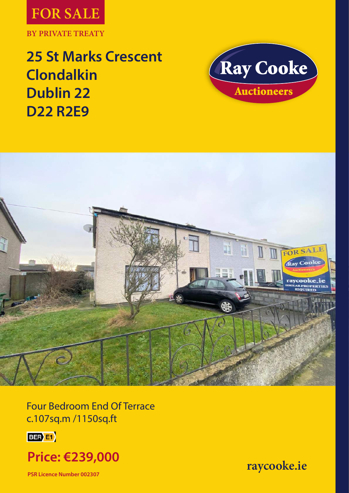

**25 St Marks Crescent Clondalkin Dublin 22 D22 R2E9**





Four Bedroom End Of Terrace c.107sq.m /1150sq.ft





**PSR Licence Number 002307**

**raycooke.ie**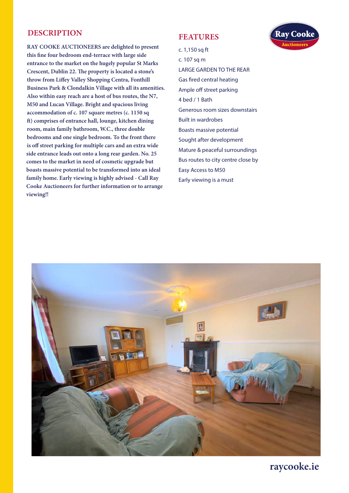## **DESCRIPTION**

**RAY COOKE AUCTIONEERS are delighted to present this fine four bedroom end-terrace with large side entrance to the market on the hugely popular St Marks Crescent, Dublin 22. The property is located a stone's throw from Liffey Valley Shopping Centra, Fonthill Business Park & Clondalkin Village with all its amenities. Also within easy reach are a host of bus routes, the N7, M50 and Lucan Village. Bright and spacious living accommodation of c. 107 square metres (c. 1150 sq ft) comprises of entrance hall, lounge, kitchen dining room, main family bathroom, W.C., three double bedrooms and one single bedroom. To the front there is off street parking for multiple cars and an extra wide side entrance leads out onto a long rear garden. No. 25 comes to the market in need of cosmetic upgrade but boasts massive potential to be transformed into an ideal family home. Early viewing is highly advised - Call Ray Cooke Auctioneers for further information or to arrange viewing!!** 

#### **FEATURES**



c. 1,150 sq ft

c. 107 sq m

LARGE GARDEN TO THE REAR

Gas fired central heating

Ample off street parking 4 bed / 1 Bath Generous room sizes downstairs

Built in wardrobes Boasts massive potential

Sought after development

Mature & peaceful surroundings

Bus routes to city centre close by

Easy Access to M50

Early viewing is a must



**raycooke.ie**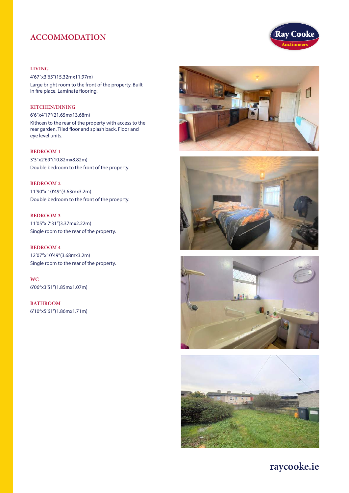## **ACCOMMODATION**

#### **LIVING**

4'67''x3'65''(15.32mx11.97m) Large bright room to the front of the property. Built in fire place. Laminate flooring.

#### **KITCHEN/DINING**

6'6''x4'17''(21.65mx13.68m)

Kithcen to the rear of the property with access to the rear garden. Tiled floor and splash back. Floor and eye level units.

**BEDROOM 1** 3'3''x2'69''(10.82mx8.82m) Double bedroom to the front of the property.

**BEDROOM 2** 11'90''x 10'49''(3.63mx3.2m) Double bedroom to the front of the proeprty.

**BEDROOM 3** 11'05''x 7'31''(3.37mx2.22m) Single room to the rear of the property.

**BEDROOM 4**  12'07''x10'49''(3.68mx3.2m) Single room to the rear of the property.

**WC** 6'06''x3'51''(1.85mx1.07m)

**BATHROOM** 6'10''x5'61''(1.86mx1.71m)











**raycooke.ie**